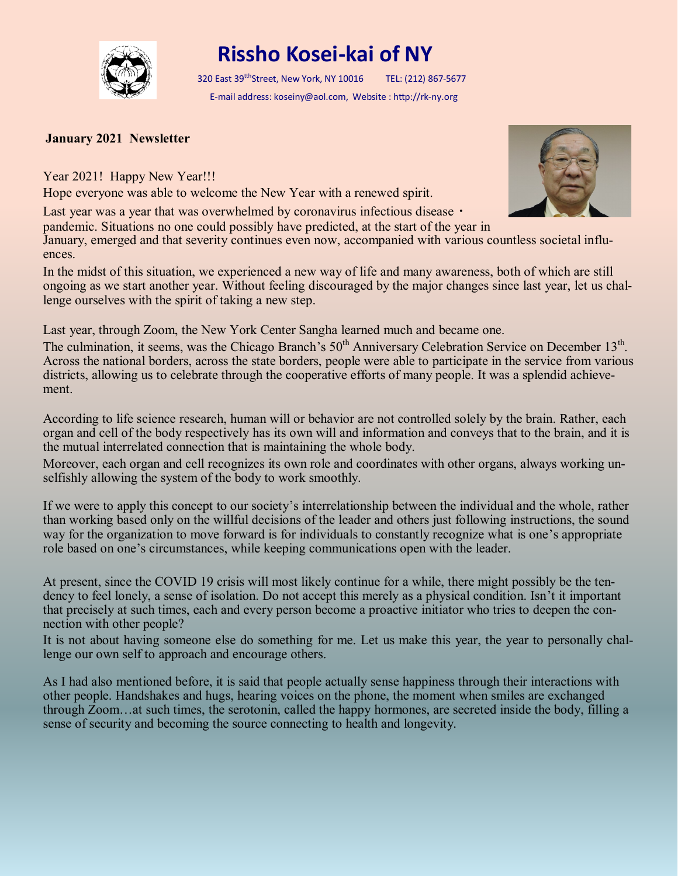

## **Rissho Kosei-kai of NY**

320 East 39<sup>tth</sup>Street, New York, NY 10016 TEL: (212) 867-5677 E-mail address: koseiny@aol.com, Website : http://rk-ny.org

## **January 2021 Newsletter**

Year 2021! Happy New Year!!!

Hope everyone was able to welcome the New Year with a renewed spirit.

Last year was a year that was overwhelmed by coronavirus infectious disease •

pandemic. Situations no one could possibly have predicted, at the start of the year in

January, emerged and that severity continues even now, accompanied with various countless societal influences.

In the midst of this situation, we experienced a new way of life and many awareness, both of which are still ongoing as we start another year. Without feeling discouraged by the major changes since last year, let us challenge ourselves with the spirit of taking a new step.

Last year, through Zoom, the New York Center Sangha learned much and became one.

The culmination, it seems, was the Chicago Branch's 50<sup>th</sup> Anniversary Celebration Service on December 13<sup>th</sup>. Across the national borders, across the state borders, people were able to participate in the service from various districts, allowing us to celebrate through the cooperative efforts of many people. It was a splendid achievement.

According to life science research, human will or behavior are not controlled solely by the brain. Rather, each organ and cell of the body respectively has its own will and information and conveys that to the brain, and it is the mutual interrelated connection that is maintaining the whole body.

Moreover, each organ and cell recognizes its own role and coordinates with other organs, always working unselfishly allowing the system of the body to work smoothly.

If we were to apply this concept to our society's interrelationship between the individual and the whole, rather than working based only on the willful decisions of the leader and others just following instructions, the sound way for the organization to move forward is for individuals to constantly recognize what is one's appropriate role based on one's circumstances, while keeping communications open with the leader.

At present, since the COVID 19 crisis will most likely continue for a while, there might possibly be the tendency to feel lonely, a sense of isolation. Do not accept this merely as a physical condition. Isn't it important that precisely at such times, each and every person become a proactive initiator who tries to deepen the connection with other people?

It is not about having someone else do something for me. Let us make this year, the year to personally challenge our own self to approach and encourage others.

As I had also mentioned before, it is said that people actually sense happiness through their interactions with other people. Handshakes and hugs, hearing voices on the phone, the moment when smiles are exchanged through Zoom…at such times, the serotonin, called the happy hormones, are secreted inside the body, filling a sense of security and becoming the source connecting to health and longevity.